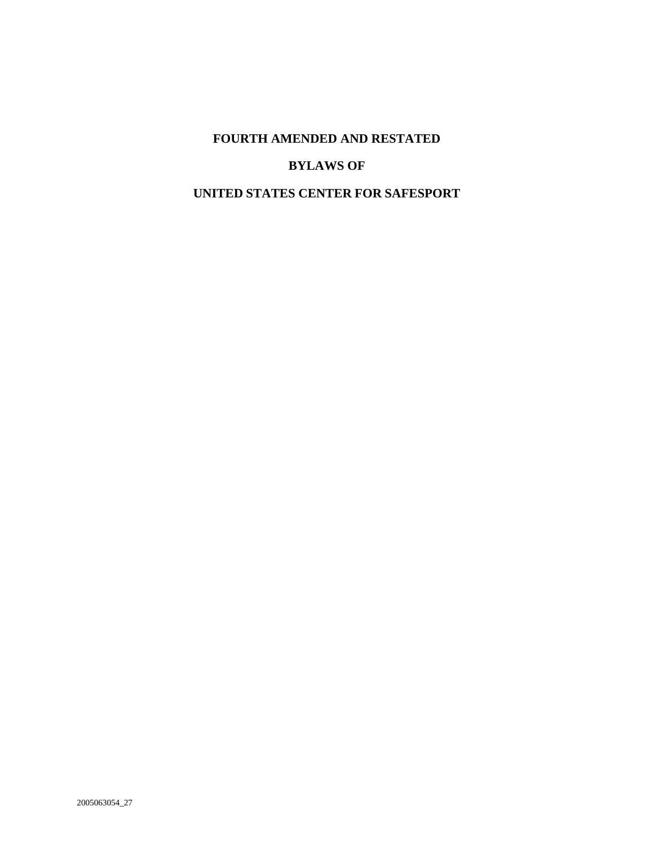# **FOURTH AMENDED AND RESTATED**

## **BYLAWS OF**

## **UNITED STATES CENTER FOR SAFESPORT**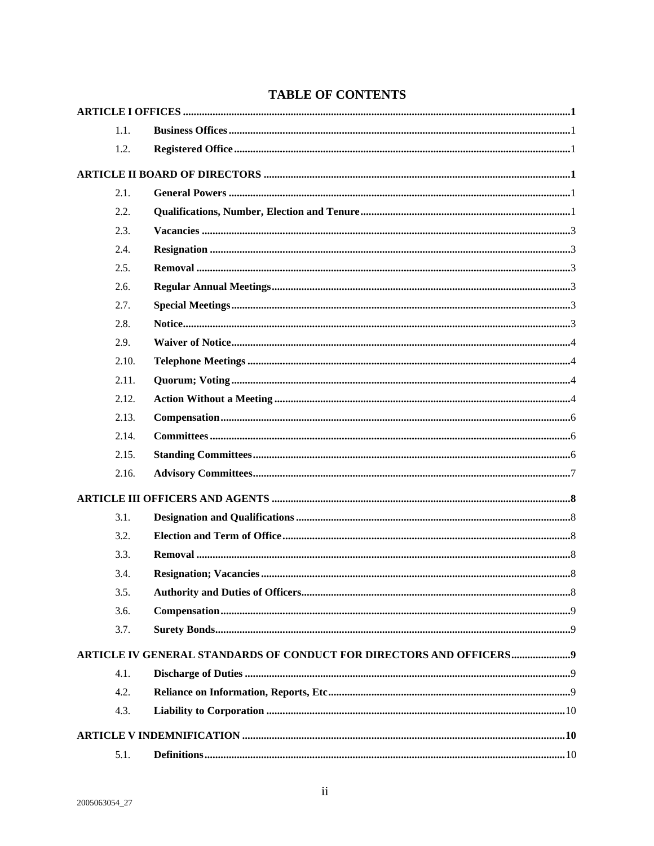| 1.1.  |                                                                     |  |
|-------|---------------------------------------------------------------------|--|
| 1.2.  |                                                                     |  |
|       |                                                                     |  |
| 2.1.  |                                                                     |  |
| 2.2.  |                                                                     |  |
| 2.3.  |                                                                     |  |
| 2.4.  |                                                                     |  |
| 2.5.  |                                                                     |  |
| 2.6.  |                                                                     |  |
| 2.7.  |                                                                     |  |
| 2.8.  |                                                                     |  |
| 2.9.  |                                                                     |  |
| 2.10. |                                                                     |  |
| 2.11. |                                                                     |  |
| 2.12. |                                                                     |  |
| 2.13. |                                                                     |  |
| 2.14. |                                                                     |  |
| 2.15. |                                                                     |  |
| 2.16. |                                                                     |  |
|       |                                                                     |  |
| 3.1.  |                                                                     |  |
| 3.2.  |                                                                     |  |
| 3.3.  |                                                                     |  |
| 3.4.  |                                                                     |  |
| 3.5.  |                                                                     |  |
| 3.6.  |                                                                     |  |
| 3.7.  |                                                                     |  |
|       | ARTICLE IV GENERAL STANDARDS OF CONDUCT FOR DIRECTORS AND OFFICERS9 |  |
| 4.1.  |                                                                     |  |
| 4.2.  |                                                                     |  |
| 4.3.  |                                                                     |  |
|       |                                                                     |  |
| 5.1.  |                                                                     |  |

## **TABLE OF CONTENTS**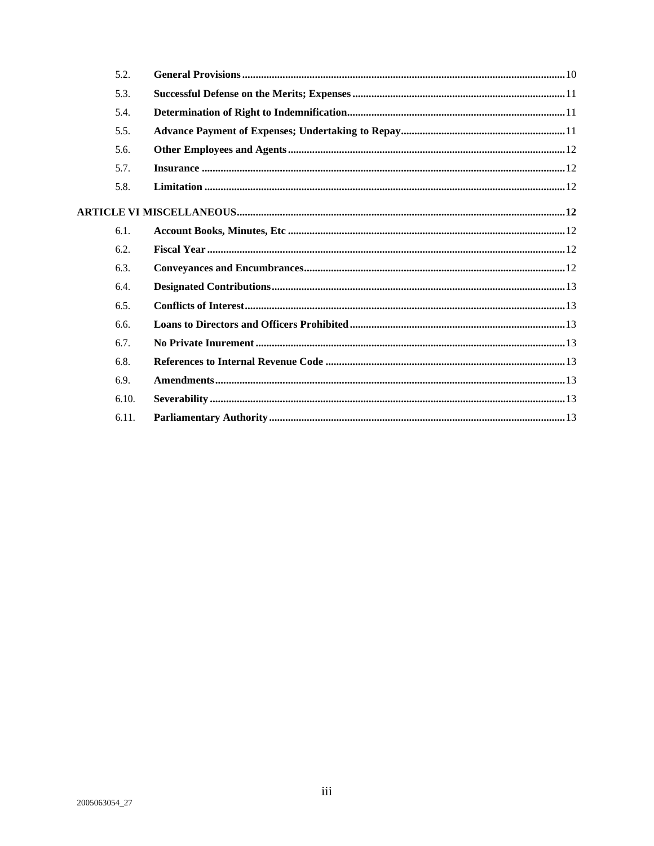| 5.2.  |  |
|-------|--|
| 5.3.  |  |
| 5.4.  |  |
| 5.5.  |  |
| 5.6.  |  |
| 5.7.  |  |
| 5.8.  |  |
|       |  |
| 6.1.  |  |
| 6.2.  |  |
| 6.3.  |  |
| 6.4.  |  |
| 6.5.  |  |
| 6.6.  |  |
| 6.7.  |  |
| 6.8.  |  |
| 6.9.  |  |
| 6.10. |  |
| 6.11. |  |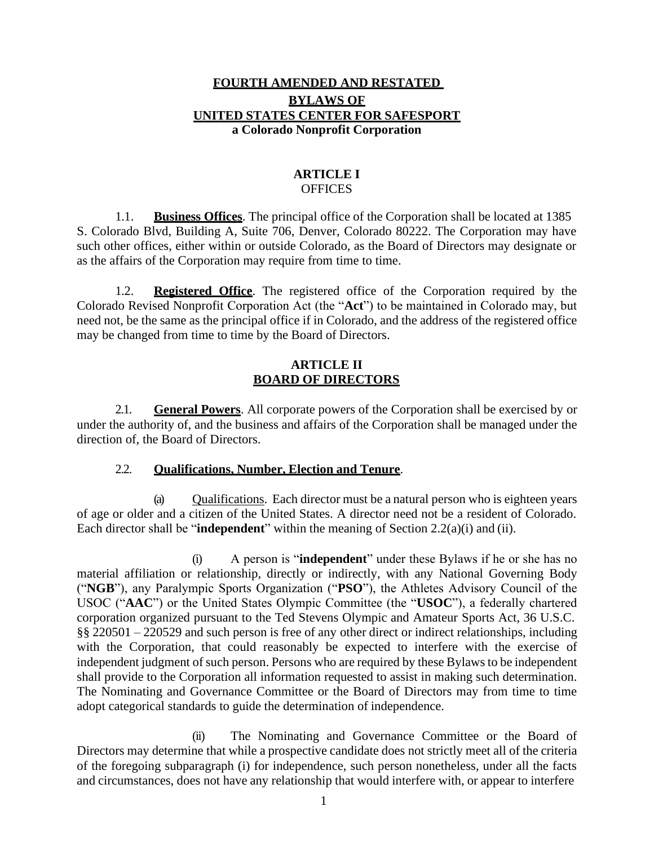### **FOURTH AMENDED AND RESTATED BYLAWS OF UNITED STATES CENTER FOR SAFESPORT a Colorado Nonprofit Corporation**

#### **ARTICLE I OFFICES**

<span id="page-3-1"></span><span id="page-3-0"></span>1.1. **Business Offices**. The principal office of the Corporation shall be located at 1385 S. Colorado Blvd, Building A, Suite 706, Denver, Colorado 80222. The Corporation may have such other offices, either within or outside Colorado, as the Board of Directors may designate or as the affairs of the Corporation may require from time to time.

<span id="page-3-2"></span>1.2. **Registered Office**. The registered office of the Corporation required by the Colorado Revised Nonprofit Corporation Act (the "**Act**") to be maintained in Colorado may, but need not, be the same as the principal office if in Colorado, and the address of the registered office may be changed from time to time by the Board of Directors.

#### <span id="page-3-3"></span>**ARTICLE II BOARD OF DIRECTORS**

<span id="page-3-4"></span>2.1. **General Powers**. All corporate powers of the Corporation shall be exercised by or under the authority of, and the business and affairs of the Corporation shall be managed under the direction of, the Board of Directors.

### 2.2. **Qualifications, Number, Election and Tenure**.

<span id="page-3-6"></span><span id="page-3-5"></span>(a) Qualifications. Each director must be a natural person who is eighteen years of age or older and a citizen of the United States. A director need not be a resident of Colorado. Each director shall be "**independent**" within the meaning of Se[ction 2.2](#page-3-5)[\(a\)](#page-3-6)[\(i\)](#page-3-7) and [\(ii\).](#page-3-8)

<span id="page-3-7"></span>(i) A person is "**independent**" under these Bylaws if he or she has no material affiliation or relationship, directly or indirectly, with any National Governing Body ("**NGB**"), any Paralympic Sports Organization ("**PSO**"), the Athletes Advisory Council of the USOC ("**AAC**") or the United States Olympic Committee (the "**USOC**"), a federally chartered corporation organized pursuant to the Ted Stevens Olympic and Amateur Sports Act, 36 U.S.C. §§ 220501 – 220529 and such person is free of any other direct or indirect relationships, including with the Corporation, that could reasonably be expected to interfere with the exercise of independent judgment of such person. Persons who are required by these Bylaws to be independent shall provide to the Corporation all information requested to assist in making such determination. The Nominating and Governance Committee or the Board of Directors may from time to time adopt categorical standards to guide the determination of independence.

<span id="page-3-8"></span>(ii) The Nominating and Governance Committee or the Board of Directors may determine that while a prospective candidate does not strictly meet all of the criteria of the foregoing subparagraph (i) for independence, such person nonetheless, under all the facts and circumstances, does not have any relationship that would interfere with, or appear to interfere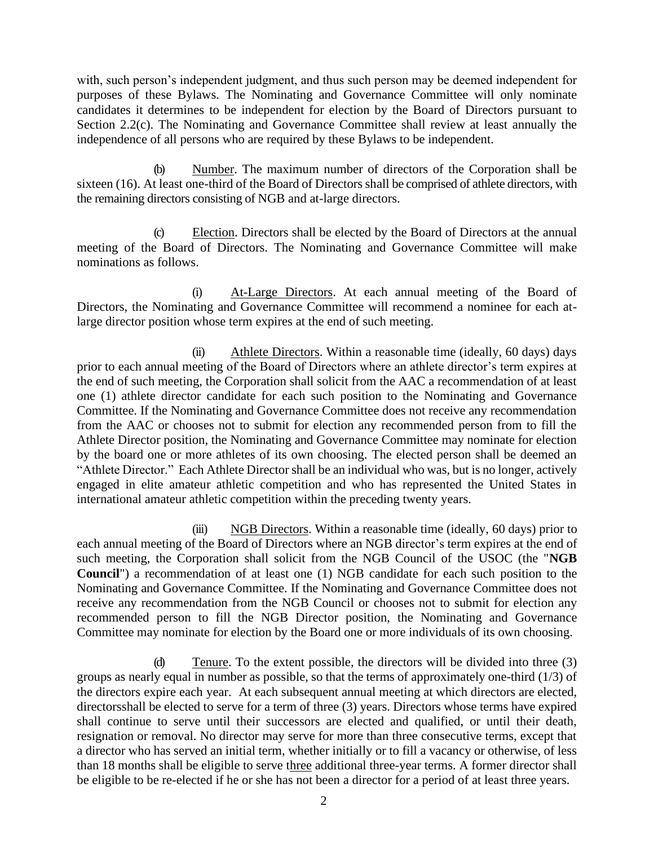with, such person's independent judgment, and thus such person may be deemed independent for purposes of these Bylaws. The Nominating and Governance Committee will only nominate candidates it determines to be independent for election by the Board of Directors pursuant to Section [2.2](#page-3-5)[\(c\).](#page-4-0) The Nominating and Governance Committee shall review at least annually the independence of all persons who are required by these Bylaws to be independent.

(b) Number. The maximum number of directors of the Corporation shall be sixteen (16). At least one-third of the Board of Directors shall be comprised of athlete directors, with the remaining directors consisting of NGB and at-large directors.

<span id="page-4-0"></span>(c) Election. Directors shall be elected by the Board of Directors at the annual meeting of the Board of Directors. The Nominating and Governance Committee will make nominations as follows.

At-Large Directors. At each annual meeting of the Board of Directors, the Nominating and Governance Committee will recommend a nominee for each atlarge director position whose term expires at the end of such meeting.

(ii) Athlete Directors. Within a reasonable time (ideally, 60 days) days prior to each annual meeting of the Board of Directors where an athlete director's term expires at the end of such meeting, the Corporation shall solicit from the AAC a recommendation of at least one (1) athlete director candidate for each such position to the Nominating and Governance Committee. If the Nominating and Governance Committee does not receive any recommendation from the AAC or chooses not to submit for election any recommended person from to fill the Athlete Director position, the Nominating and Governance Committee may nominate for election by the board one or more athletes of its own choosing. The elected person shall be deemed an "Athlete Director." Each Athlete Directorshall be an individual who was, but is no longer, actively engaged in elite amateur athletic competition and who has represented the United States in international amateur athletic competition within the preceding twenty years.

(iii) NGB Directors. Within a reasonable time (ideally, 60 days) prior to each annual meeting of the Board of Directors where an NGB director's term expires at the end of such meeting, the Corporation shall solicit from the NGB Council of the USOC (the "**NGB Council**") a recommendation of at least one (1) NGB candidate for each such position to the Nominating and Governance Committee. If the Nominating and Governance Committee does not receive any recommendation from the NGB Council or chooses not to submit for election any recommended person to fill the NGB Director position, the Nominating and Governance Committee may nominate for election by the Board one or more individuals of its own choosing.

(d) Tenure. To the extent possible, the directors will be divided into three (3) groups as nearly equal in number as possible, so that the terms of approximately one-third (1/3) of the directors expire each year. At each subsequent annual meeting at which directors are elected, directorsshall be elected to serve for a term of three (3) years. Directors whose terms have expired shall continue to serve until their successors are elected and qualified, or until their death, resignation or removal. No director may serve for more than three consecutive terms, except that a director who has served an initial term, whether initially or to fill a vacancy or otherwise, of less than 18 months shall be eligible to serve three additional three-year terms. A former director shall be eligible to be re-elected if he or she has not been a director for a period of at least three years.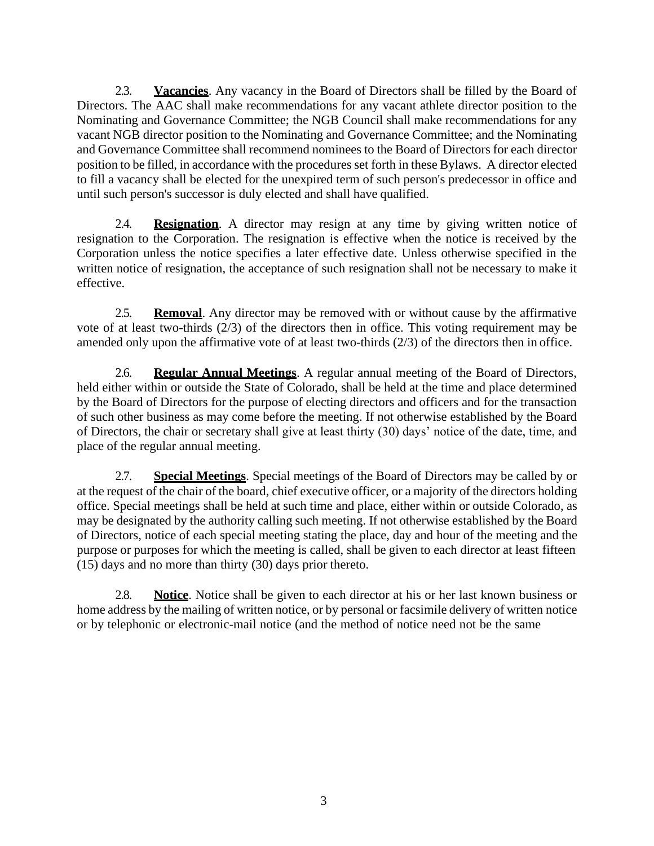<span id="page-5-0"></span>2.3. **Vacancies**. Any vacancy in the Board of Directors shall be filled by the Board of Directors. The AAC shall make recommendations for any vacant athlete director position to the Nominating and Governance Committee; the NGB Council shall make recommendations for any vacant NGB director position to the Nominating and Governance Committee; and the Nominating and Governance Committee shall recommend nominees to the Board of Directors for each director position to be filled, in accordance with the procedures set forth in these Bylaws. A director elected to fill a vacancy shall be elected for the unexpired term of such person's predecessor in office and until such person's successor is duly elected and shall have qualified.

<span id="page-5-1"></span>2.4. **Resignation**. A director may resign at any time by giving written notice of resignation to the Corporation. The resignation is effective when the notice is received by the Corporation unless the notice specifies a later effective date. Unless otherwise specified in the written notice of resignation, the acceptance of such resignation shall not be necessary to make it effective.

<span id="page-5-2"></span>2.5. **Removal**. Any director may be removed with or without cause by the affirmative vote of at least two-thirds (2/3) of the directors then in office. This voting requirement may be amended only upon the affirmative vote of at least two-thirds (2/3) of the directors then in office.

<span id="page-5-3"></span>2.6. **Regular Annual Meetings**. A regular annual meeting of the Board of Directors, held either within or outside the State of Colorado, shall be held at the time and place determined by the Board of Directors for the purpose of electing directors and officers and for the transaction of such other business as may come before the meeting. If not otherwise established by the Board of Directors, the chair or secretary shall give at least thirty (30) days' notice of the date, time, and place of the regular annual meeting.

<span id="page-5-4"></span>2.7. **Special Meetings**. Special meetings of the Board of Directors may be called by or at the request of the chair of the board, chief executive officer, or a majority of the directors holding office. Special meetings shall be held at such time and place, either within or outside Colorado, as may be designated by the authority calling such meeting. If not otherwise established by the Board of Directors, notice of each special meeting stating the place, day and hour of the meeting and the purpose or purposes for which the meeting is called, shall be given to each director at least fifteen (15) days and no more than thirty (30) days prior thereto.

<span id="page-5-5"></span>2.8. **Notice**. Notice shall be given to each director at his or her last known business or home address by the mailing of written notice, or by personal or facsimile delivery of written notice or by telephonic or electronic-mail notice (and the method of notice need not be the same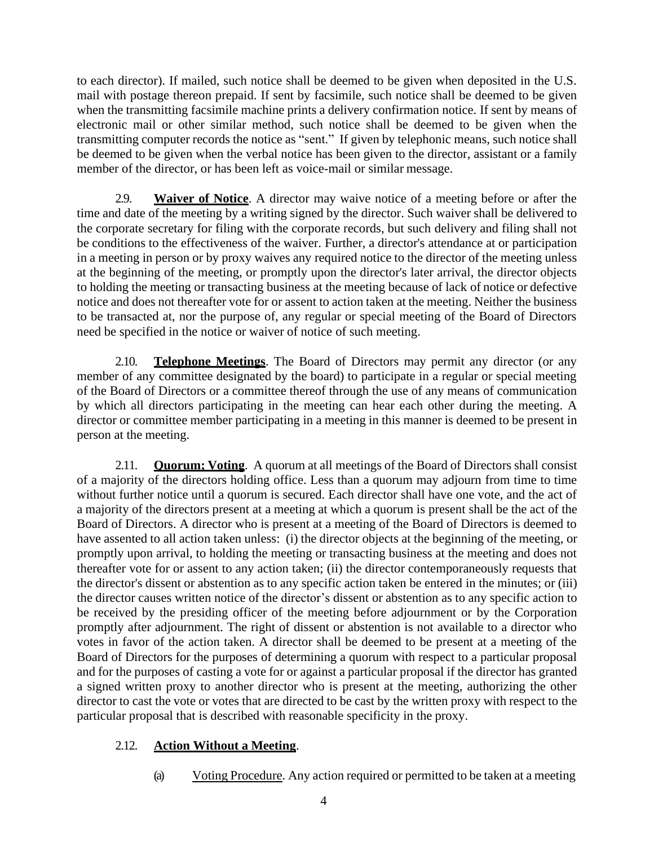to each director). If mailed, such notice shall be deemed to be given when deposited in the U.S. mail with postage thereon prepaid. If sent by facsimile, such notice shall be deemed to be given when the transmitting facsimile machine prints a delivery confirmation notice. If sent by means of electronic mail or other similar method, such notice shall be deemed to be given when the transmitting computer records the notice as "sent." If given by telephonic means, such notice shall be deemed to be given when the verbal notice has been given to the director, assistant or a family member of the director, or has been left as voice-mail or similar message.

<span id="page-6-0"></span>2.9. **Waiver of Notice**. A director may waive notice of a meeting before or after the time and date of the meeting by a writing signed by the director. Such waiver shall be delivered to the corporate secretary for filing with the corporate records, but such delivery and filing shall not be conditions to the effectiveness of the waiver. Further, a director's attendance at or participation in a meeting in person or by proxy waives any required notice to the director of the meeting unless at the beginning of the meeting, or promptly upon the director's later arrival, the director objects to holding the meeting or transacting business at the meeting because of lack of notice or defective notice and does not thereafter vote for or assent to action taken at the meeting. Neither the business to be transacted at, nor the purpose of, any regular or special meeting of the Board of Directors need be specified in the notice or waiver of notice of such meeting.

<span id="page-6-1"></span>2.10. **Telephone Meetings**. The Board of Directors may permit any director (or any member of any committee designated by the board) to participate in a regular or special meeting of the Board of Directors or a committee thereof through the use of any means of communication by which all directors participating in the meeting can hear each other during the meeting. A director or committee member participating in a meeting in this manner is deemed to be present in person at the meeting.

<span id="page-6-2"></span>2.11. **Quorum; Voting**. A quorum at all meetings of the Board of Directors shall consist of a majority of the directors holding office. Less than a quorum may adjourn from time to time without further notice until a quorum is secured. Each director shall have one vote, and the act of a majority of the directors present at a meeting at which a quorum is present shall be the act of the Board of Directors. A director who is present at a meeting of the Board of Directors is deemed to have assented to all action taken unless: (i) the director objects at the beginning of the meeting, or promptly upon arrival, to holding the meeting or transacting business at the meeting and does not thereafter vote for or assent to any action taken; (ii) the director contemporaneously requests that the director's dissent or abstention as to any specific action taken be entered in the minutes; or (iii) the director causes written notice of the director's dissent or abstention as to any specific action to be received by the presiding officer of the meeting before adjournment or by the Corporation promptly after adjournment. The right of dissent or abstention is not available to a director who votes in favor of the action taken. A director shall be deemed to be present at a meeting of the Board of Directors for the purposes of determining a quorum with respect to a particular proposal and for the purposes of casting a vote for or against a particular proposal if the director has granted a signed written proxy to another director who is present at the meeting, authorizing the other director to cast the vote or votes that are directed to be cast by the written proxy with respect to the particular proposal that is described with reasonable specificity in the proxy.

### <span id="page-6-4"></span><span id="page-6-3"></span>2.12. **Action Without a Meeting**.

(a) Voting Procedure. Any action required or permitted to be taken at a meeting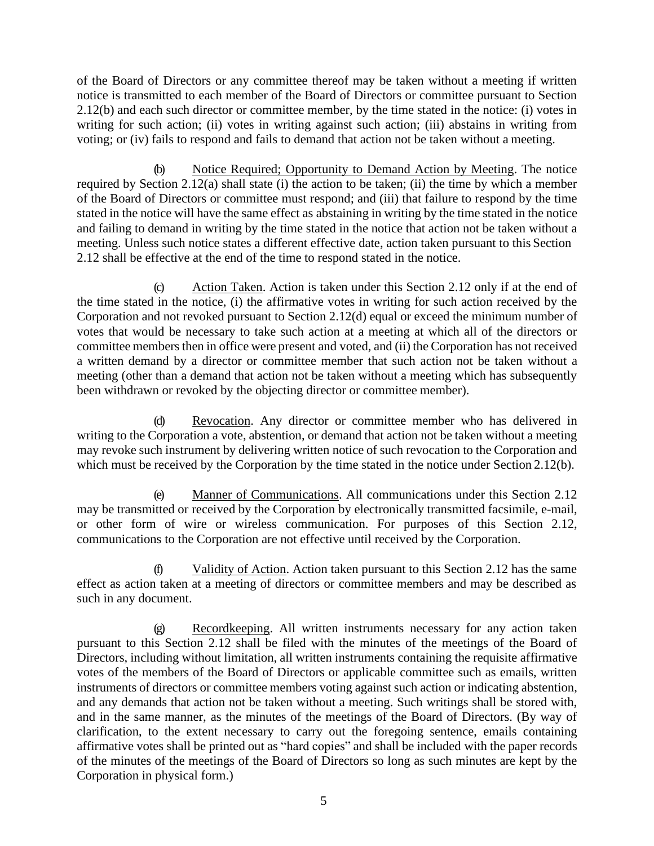of the Board of Directors or any committee thereof may be taken without a meeting if written notice is transmitted to each member of the Board of Directors or committee pursuant to Section [2.12](#page-6-3)[\(b\) a](#page-7-0)nd each such director or committee member, by the time stated in the notice: (i) votes in writing for such action; (ii) votes in writing against such action; (iii) abstains in writing from voting; or (iv) fails to respond and fails to demand that action not be taken without a meeting.

<span id="page-7-0"></span>(b) Notice Required; Opportunity to Demand Action by Meeting. The notice required by Section [2.12](#page-6-3)[\(a\) s](#page-6-4)hall state (i) the action to be taken; (ii) the time by which a member of the Board of Directors or committee must respond; and (iii) that failure to respond by the time stated in the notice will have the same effect as abstaining in writing by the time stated in the notice and failing to demand in writing by the time stated in the notice that action not be taken without a meeting. Unless such notice states a different effective date, action taken pursuant to this Section [2.12](#page-6-3) shall be effective at the end of the time to respond stated in the notice.

Action Taken. Action is taken under this Section [2.12 o](#page-6-3)nly if at the end of the time stated in the notice, (i) the affirmative votes in writing for such action received by the Corporation and not revoked pursuant to Section [2.12](#page-6-3)[\(d\)](#page-7-1) equal or exceed the minimum number of votes that would be necessary to take such action at a meeting at which all of the directors or committee members then in office were present and voted, and (ii) the Corporation has not received a written demand by a director or committee member that such action not be taken without a meeting (other than a demand that action not be taken without a meeting which has subsequently been withdrawn or revoked by the objecting director or committee member).

<span id="page-7-1"></span>(d) Revocation. Any director or committee member who has delivered in writing to the Corporation a vote, abstention, or demand that action not be taken without a meeting may revoke such instrument by delivering written notice of such revocation to the Corporation and which must be received by the Corporation by the time stated in the notice under Section [2.12](#page-6-3)[\(b\).](#page-7-0)

(e) Manner of Communications. All communications under this Section [2.12](#page-6-3) may be transmitted or received by the Corporation by electronically transmitted facsimile, e-mail, or other form of wire or wireless communication. For purposes of this Section [2.12,](#page-6-3) communications to the Corporation are not effective until received by the Corporation.

(f) Validity of Action. Action taken pursuant to this Section [2.12 h](#page-6-3)as the same effect as action taken at a meeting of directors or committee members and may be described as such in any document.

Recordkeeping. All written instruments necessary for any action taken pursuant to this Section [2.12](#page-6-3) shall be filed with the minutes of the meetings of the Board of Directors, including without limitation, all written instruments containing the requisite affirmative votes of the members of the Board of Directors or applicable committee such as emails, written instruments of directors or committee members voting against such action or indicating abstention, and any demands that action not be taken without a meeting. Such writings shall be stored with, and in the same manner, as the minutes of the meetings of the Board of Directors. (By way of clarification, to the extent necessary to carry out the foregoing sentence, emails containing affirmative votes shall be printed out as "hard copies" and shall be included with the paper records of the minutes of the meetings of the Board of Directors so long as such minutes are kept by the Corporation in physical form.)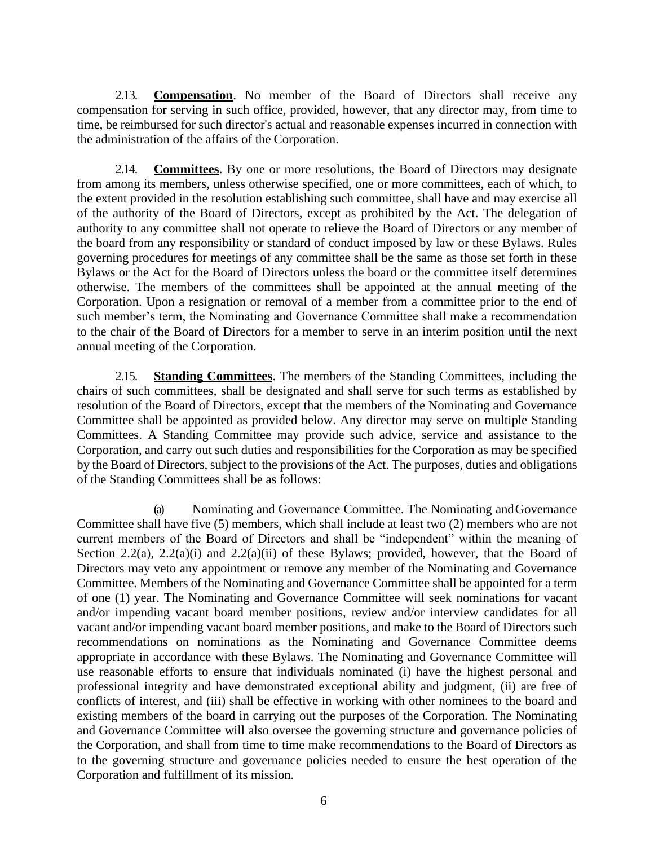<span id="page-8-0"></span>2.13. **Compensation**. No member of the Board of Directors shall receive any compensation for serving in such office, provided, however, that any director may, from time to time, be reimbursed for such director's actual and reasonable expenses incurred in connection with the administration of the affairs of the Corporation.

<span id="page-8-1"></span>2.14. **Committees**. By one or more resolutions, the Board of Directors may designate from among its members, unless otherwise specified, one or more committees, each of which, to the extent provided in the resolution establishing such committee, shall have and may exercise all of the authority of the Board of Directors, except as prohibited by the Act. The delegation of authority to any committee shall not operate to relieve the Board of Directors or any member of the board from any responsibility or standard of conduct imposed by law or these Bylaws. Rules governing procedures for meetings of any committee shall be the same as those set forth in these Bylaws or the Act for the Board of Directors unless the board or the committee itself determines otherwise. The members of the committees shall be appointed at the annual meeting of the Corporation. Upon a resignation or removal of a member from a committee prior to the end of such member's term, the Nominating and Governance Committee shall make a recommendation to the chair of the Board of Directors for a member to serve in an interim position until the next annual meeting of the Corporation.

<span id="page-8-2"></span>2.15. **Standing Committees**. The members of the Standing Committees, including the chairs of such committees, shall be designated and shall serve for such terms as established by resolution of the Board of Directors, except that the members of the Nominating and Governance Committee shall be appointed as provided below. Any director may serve on multiple Standing Committees. A Standing Committee may provide such advice, service and assistance to the Corporation, and carry out such duties and responsibilities for the Corporation as may be specified by the Board of Directors, subject to the provisions of the Act. The purposes, duties and obligations of the Standing Committees shall be as follows:

(a) Nominating and Governance Committee. The Nominating andGovernance Committee shall have five (5) members, which shall include at least two (2) members who are not current members of the Board of Directors and shall be "independent" within the meaning of Section 2.2(a), 2.2(a)(i) and 2.2(a)(ii) of these Bylaws; provided, however, that the Board of Directors may veto any appointment or remove any member of the Nominating and Governance Committee. Members of the Nominating and Governance Committee shall be appointed for a term of one (1) year. The Nominating and Governance Committee will seek nominations for vacant and/or impending vacant board member positions, review and/or interview candidates for all vacant and/or impending vacant board member positions, and make to the Board of Directors such recommendations on nominations as the Nominating and Governance Committee deems appropriate in accordance with these Bylaws. The Nominating and Governance Committee will use reasonable efforts to ensure that individuals nominated (i) have the highest personal and professional integrity and have demonstrated exceptional ability and judgment, (ii) are free of conflicts of interest, and (iii) shall be effective in working with other nominees to the board and existing members of the board in carrying out the purposes of the Corporation. The Nominating and Governance Committee will also oversee the governing structure and governance policies of the Corporation, and shall from time to time make recommendations to the Board of Directors as to the governing structure and governance policies needed to ensure the best operation of the Corporation and fulfillment of its mission.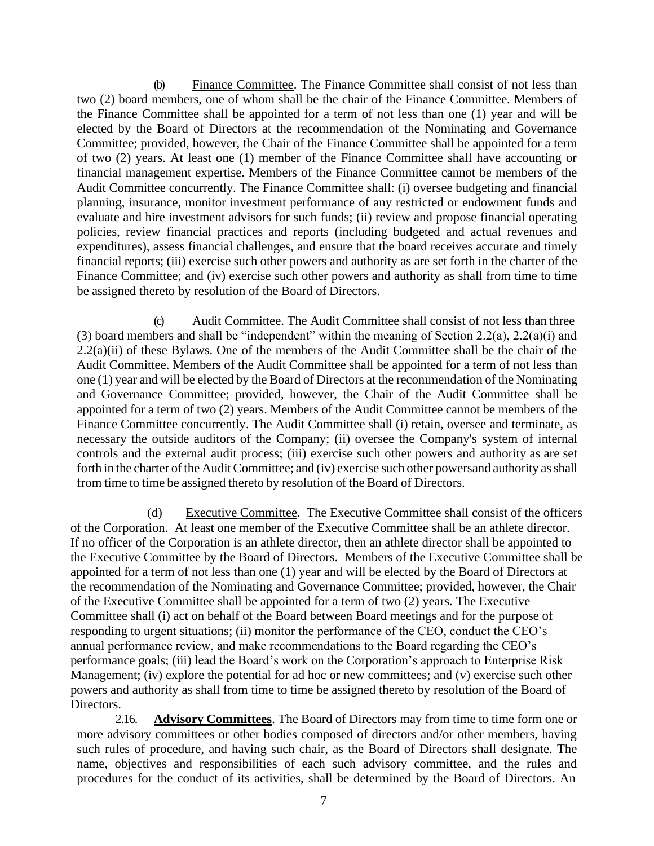(b) Finance Committee. The Finance Committee shall consist of not less than two (2) board members, one of whom shall be the chair of the Finance Committee. Members of the Finance Committee shall be appointed for a term of not less than one (1) year and will be elected by the Board of Directors at the recommendation of the Nominating and Governance Committee; provided, however, the Chair of the Finance Committee shall be appointed for a term of two (2) years. At least one (1) member of the Finance Committee shall have accounting or financial management expertise. Members of the Finance Committee cannot be members of the Audit Committee concurrently. The Finance Committee shall: (i) oversee budgeting and financial planning, insurance, monitor investment performance of any restricted or endowment funds and evaluate and hire investment advisors for such funds; (ii) review and propose financial operating policies, review financial practices and reports (including budgeted and actual revenues and expenditures), assess financial challenges, and ensure that the board receives accurate and timely financial reports; (iii) exercise such other powers and authority as are set forth in the charter of the Finance Committee; and (iv) exercise such other powers and authority as shall from time to time be assigned thereto by resolution of the Board of Directors.

(c) Audit Committee. The Audit Committee shall consist of not less than three (3) board members and shall be "independent" within the meaning of Section 2.2(a), 2.2(a)(i) and  $2.2(a)(ii)$  of these Bylaws. One of the members of the Audit Committee shall be the chair of the Audit Committee. Members of the Audit Committee shall be appointed for a term of not less than one (1) year and will be elected by the Board of Directors at the recommendation of the Nominating and Governance Committee; provided, however, the Chair of the Audit Committee shall be appointed for a term of two (2) years. Members of the Audit Committee cannot be members of the Finance Committee concurrently. The Audit Committee shall (i) retain, oversee and terminate, as necessary the outside auditors of the Company; (ii) oversee the Company's system of internal controls and the external audit process; (iii) exercise such other powers and authority as are set forth in the charter of the Audit Committee; and (iv) exercise such other powersand authority as shall from time to time be assigned thereto by resolution of the Board of Directors.

 (d) Executive Committee. The Executive Committee shall consist of the officers of the Corporation. At least one member of the Executive Committee shall be an athlete director. If no officer of the Corporation is an athlete director, then an athlete director shall be appointed to the Executive Committee by the Board of Directors. Members of the Executive Committee shall be appointed for a term of not less than one (1) year and will be elected by the Board of Directors at the recommendation of the Nominating and Governance Committee; provided, however, the Chair of the Executive Committee shall be appointed for a term of two (2) years. The Executive Committee shall (i) act on behalf of the Board between Board meetings and for the purpose of responding to urgent situations; (ii) monitor the performance of the CEO, conduct the CEO's annual performance review, and make recommendations to the Board regarding the CEO's performance goals; (iii) lead the Board's work on the Corporation's approach to Enterprise Risk Management; (iv) explore the potential for ad hoc or new committees; and (v) exercise such other powers and authority as shall from time to time be assigned thereto by resolution of the Board of Directors.

<span id="page-9-0"></span>2.16. **Advisory Committees**. The Board of Directors may from time to time form one or more advisory committees or other bodies composed of directors and/or other members, having such rules of procedure, and having such chair, as the Board of Directors shall designate. The name, objectives and responsibilities of each such advisory committee, and the rules and procedures for the conduct of its activities, shall be determined by the Board of Directors. An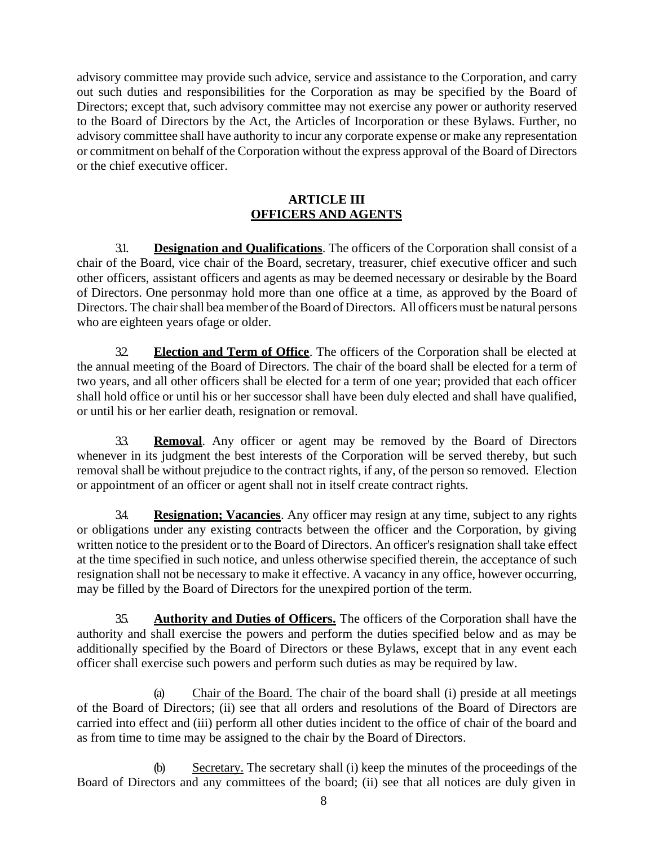advisory committee may provide such advice, service and assistance to the Corporation, and carry out such duties and responsibilities for the Corporation as may be specified by the Board of Directors; except that, such advisory committee may not exercise any power or authority reserved to the Board of Directors by the Act, the Articles of Incorporation or these Bylaws. Further, no advisory committee shall have authority to incur any corporate expense or make any representation or commitment on behalf of the Corporation without the express approval of the Board of Directors or the chief executive officer.

### <span id="page-10-0"></span>**ARTICLE III OFFICERS AND AGENTS**

<span id="page-10-1"></span>3.1. **Designation and Qualifications**. The officers of the Corporation shall consist of a chair of the Board, vice chair of the Board, secretary, treasurer, chief executive officer and such other officers, assistant officers and agents as may be deemed necessary or desirable by the Board of Directors. One personmay hold more than one office at a time, as approved by the Board of Directors. The chair shall bea member of the Board of Directors. All officers must be natural persons who are eighteen years ofage or older.

<span id="page-10-2"></span>32. **Election and Term of Office**. The officers of the Corporation shall be elected at the annual meeting of the Board of Directors. The chair of the board shall be elected for a term of two years, and all other officers shall be elected for a term of one year; provided that each officer shall hold office or until his or her successor shall have been duly elected and shall have qualified, or until his or her earlier death, resignation or removal.

<span id="page-10-3"></span>3.3. **Removal**. Any officer or agent may be removed by the Board of Directors whenever in its judgment the best interests of the Corporation will be served thereby, but such removal shall be without prejudice to the contract rights, if any, of the person so removed. Election or appointment of an officer or agent shall not in itself create contract rights.

<span id="page-10-4"></span>3.4. **Resignation; Vacancies**. Any officer may resign at any time, subject to any rights or obligations under any existing contracts between the officer and the Corporation, by giving written notice to the president or to the Board of Directors. An officer's resignation shall take effect at the time specified in such notice, and unless otherwise specified therein, the acceptance of such resignation shall not be necessary to make it effective. A vacancy in any office, however occurring, may be filled by the Board of Directors for the unexpired portion of the term.

<span id="page-10-5"></span>35. **Authority and Duties of Officers.** The officers of the Corporation shall have the authority and shall exercise the powers and perform the duties specified below and as may be additionally specified by the Board of Directors or these Bylaws, except that in any event each officer shall exercise such powers and perform such duties as may be required by law.

Chair of the Board. The chair of the board shall (i) preside at all meetings of the Board of Directors; (ii) see that all orders and resolutions of the Board of Directors are carried into effect and (iii) perform all other duties incident to the office of chair of the board and as from time to time may be assigned to the chair by the Board of Directors.

(b) Secretary. The secretary shall (i) keep the minutes of the proceedings of the Board of Directors and any committees of the board; (ii) see that all notices are duly given in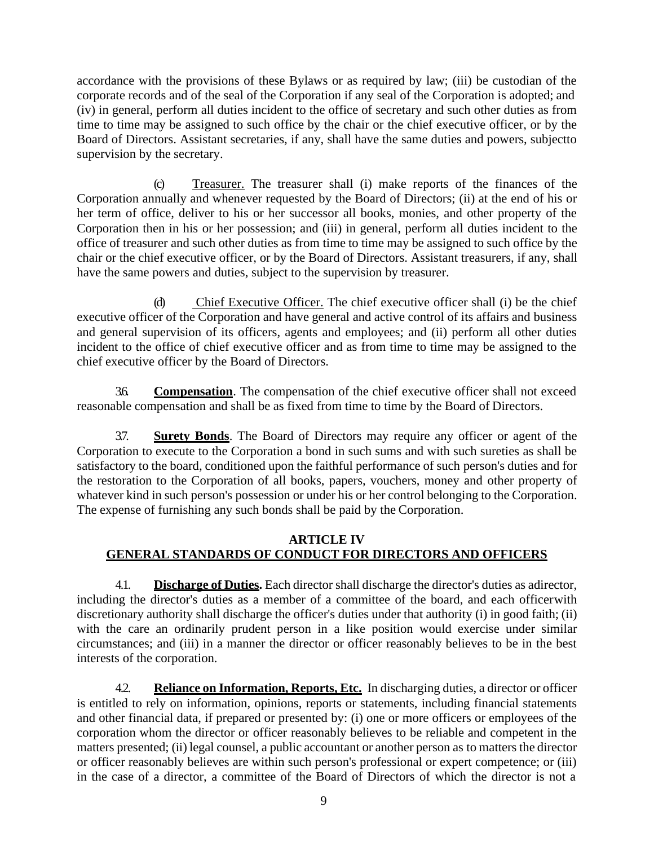accordance with the provisions of these Bylaws or as required by law; (iii) be custodian of the corporate records and of the seal of the Corporation if any seal of the Corporation is adopted; and (iv) in general, perform all duties incident to the office of secretary and such other duties as from time to time may be assigned to such office by the chair or the chief executive officer, or by the Board of Directors. Assistant secretaries, if any, shall have the same duties and powers, subjectto supervision by the secretary.

(c) Treasurer. The treasurer shall (i) make reports of the finances of the Corporation annually and whenever requested by the Board of Directors; (ii) at the end of his or her term of office, deliver to his or her successor all books, monies, and other property of the Corporation then in his or her possession; and (iii) in general, perform all duties incident to the office of treasurer and such other duties as from time to time may be assigned to such office by the chair or the chief executive officer, or by the Board of Directors. Assistant treasurers, if any, shall have the same powers and duties, subject to the supervision by treasurer.

(d) Chief Executive Officer. The chief executive officer shall (i) be the chief executive officer of the Corporation and have general and active control of its affairs and business and general supervision of its officers, agents and employees; and (ii) perform all other duties incident to the office of chief executive officer and as from time to time may be assigned to the chief executive officer by the Board of Directors.

<span id="page-11-0"></span>3.6. **Compensation**. The compensation of the chief executive officer shall not exceed reasonable compensation and shall be as fixed from time to time by the Board of Directors.

<span id="page-11-1"></span>3.7. **Surety Bonds**. The Board of Directors may require any officer or agent of the Corporation to execute to the Corporation a bond in such sums and with such sureties as shall be satisfactory to the board, conditioned upon the faithful performance of such person's duties and for the restoration to the Corporation of all books, papers, vouchers, money and other property of whatever kind in such person's possession or under his or her control belonging to the Corporation. The expense of furnishing any such bonds shall be paid by the Corporation.

### **ARTICLE IV GENERAL STANDARDS OF CONDUCT FOR DIRECTORS AND OFFICERS**

<span id="page-11-3"></span><span id="page-11-2"></span>4.1. **Discharge of Duties.** Each director shall discharge the director's duties as adirector, including the director's duties as a member of a committee of the board, and each officerwith discretionary authority shall discharge the officer's duties under that authority (i) in good faith; (ii) with the care an ordinarily prudent person in a like position would exercise under similar circumstances; and (iii) in a manner the director or officer reasonably believes to be in the best interests of the corporation.

<span id="page-11-4"></span>4.2. **Reliance on Information, Reports, Etc.** In discharging duties, a director or officer is entitled to rely on information, opinions, reports or statements, including financial statements and other financial data, if prepared or presented by: (i) one or more officers or employees of the corporation whom the director or officer reasonably believes to be reliable and competent in the matters presented; (ii) legal counsel, a public accountant or another person as to matters the director or officer reasonably believes are within such person's professional or expert competence; or (iii) in the case of a director, a committee of the Board of Directors of which the director is not a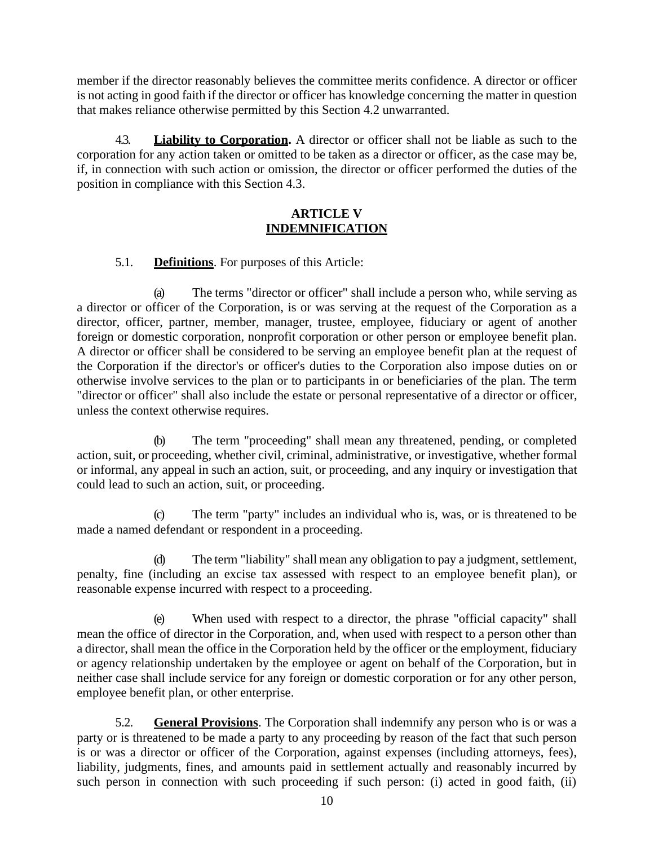member if the director reasonably believes the committee merits confidence. A director or officer is not acting in good faith if the director or officer has knowledge concerning the matter in question that makes reliance otherwise permitted by this Se[ction 4.2](#page-11-4) unwarranted.

<span id="page-12-0"></span>4.3. **Liability to Corporation.** A director or officer shall not be liable as such to the corporation for any action taken or omitted to be taken as a director or officer, as the case may be, if, in connection with such action or omission, the director or officer performed the duties of the position in compliance with this Se[ction](#page-12-0) 4.3.

#### **ARTICLE V INDEMNIFICATION**

### <span id="page-12-1"></span>5.1. **Definitions**. For purposes of this Article:

<span id="page-12-2"></span>(a) The terms "director or officer" shall include a person who, while serving as a director or officer of the Corporation, is or was serving at the request of the Corporation as a director, officer, partner, member, manager, trustee, employee, fiduciary or agent of another foreign or domestic corporation, nonprofit corporation or other person or employee benefit plan. A director or officer shall be considered to be serving an employee benefit plan at the request of the Corporation if the director's or officer's duties to the Corporation also impose duties on or otherwise involve services to the plan or to participants in or beneficiaries of the plan. The term "director or officer" shall also include the estate or personal representative of a director or officer, unless the context otherwise requires.

(b) The term "proceeding" shall mean any threatened, pending, or completed action, suit, or proceeding, whether civil, criminal, administrative, or investigative, whether formal or informal, any appeal in such an action, suit, or proceeding, and any inquiry or investigation that could lead to such an action, suit, or proceeding.

The term "party" includes an individual who is, was, or is threatened to be made a named defendant or respondent in a proceeding.

The term "liability" shall mean any obligation to pay a judgment, settlement, penalty, fine (including an excise tax assessed with respect to an employee benefit plan), or reasonable expense incurred with respect to a proceeding.

(e) When used with respect to a director, the phrase "official capacity" shall mean the office of director in the Corporation, and, when used with respect to a person other than a director, shall mean the office in the Corporation held by the officer or the employment, fiduciary or agency relationship undertaken by the employee or agent on behalf of the Corporation, but in neither case shall include service for any foreign or domestic corporation or for any other person, employee benefit plan, or other enterprise.

<span id="page-12-3"></span>5.2. **General Provisions**. The Corporation shall indemnify any person who is or was a party or is threatened to be made a party to any proceeding by reason of the fact that such person is or was a director or officer of the Corporation, against expenses (including attorneys, fees), liability, judgments, fines, and amounts paid in settlement actually and reasonably incurred by such person in connection with such proceeding if such person: (i) acted in good faith, (ii)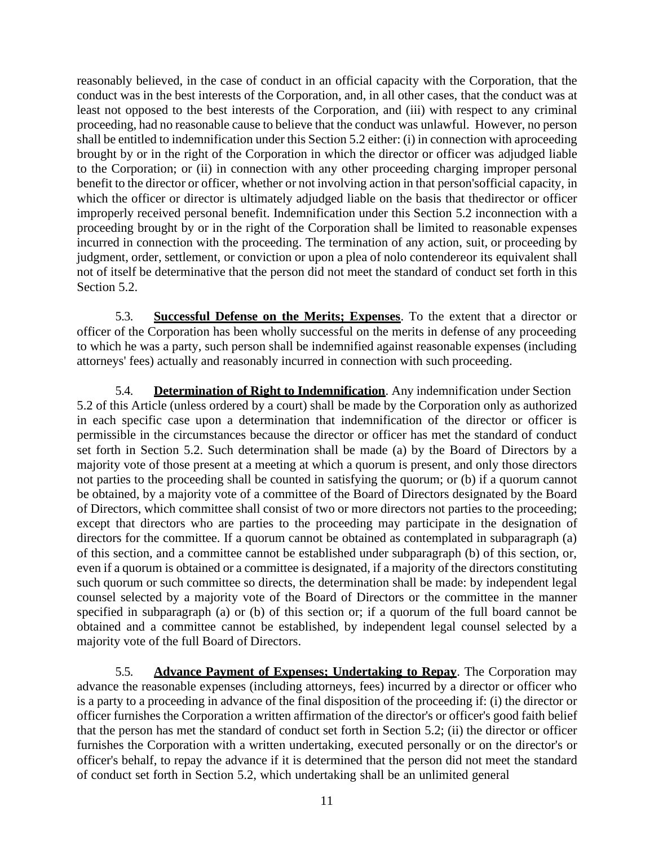reasonably believed, in the case of conduct in an official capacity with the Corporation, that the conduct was in the best interests of the Corporation, and, in all other cases, that the conduct was at least not opposed to the best interests of the Corporation, and (iii) with respect to any criminal proceeding, had no reasonable cause to believe that the conduct was unlawful. However, no person shall be entitled to indemnification under this Section [5.2](#page-12-3) either: (i) in connection with aproceeding brought by or in the right of the Corporation in which the director or officer was adjudged liable to the Corporation; or (ii) in connection with any other proceeding charging improper personal benefit to the director or officer, whether or not involving action in that person'sofficial capacity, in which the officer or director is ultimately adjudged liable on the basis that thedirector or officer improperly received personal benefit. Indemnification under this Section [5.2](#page-12-3) inconnection with a proceeding brought by or in the right of the Corporation shall be limited to reasonable expenses incurred in connection with the proceeding. The termination of any action, suit, or proceeding by judgment, order, settlement, or conviction or upon a plea of nolo contendereor its equivalent shall not of itself be determinative that the person did not meet the standard of conduct set forth in this Se[ction 5.2.](#page-12-3)

<span id="page-13-0"></span>5.3. **Successful Defense on the Merits; Expenses**. To the extent that a director or officer of the Corporation has been wholly successful on the merits in defense of any proceeding to which he was a party, such person shall be indemnified against reasonable expenses (including attorneys' fees) actually and reasonably incurred in connection with such proceeding.

<span id="page-13-1"></span>5.4. **Determination of Right to Indemnification**. Any indemnification under Section [5.2](#page-12-3) of this Article (unless ordered by a court) shall be made by the Corporation only as authorized in each specific case upon a determination that indemnification of the director or officer is permissible in the circumstances because the director or officer has met the standard of conduct set forth in Section [5.2.](#page-12-3) Such determination shall be made (a) by the Board of Directors by a majority vote of those present at a meeting at which a quorum is present, and only those directors not parties to the proceeding shall be counted in satisfying the quorum; or (b) if a quorum cannot be obtained, by a majority vote of a committee of the Board of Directors designated by the Board of Directors, which committee shall consist of two or more directors not parties to the proceeding; except that directors who are parties to the proceeding may participate in the designation of directors for the committee. If a quorum cannot be obtained as contemplated in subparagraph (a) of this section, and a committee cannot be established under subparagraph (b) of this section, or, even if a quorum is obtained or a committee is designated, if a majority of the directors constituting such quorum or such committee so directs, the determination shall be made: by independent legal counsel selected by a majority vote of the Board of Directors or the committee in the manner specified in subparagraph (a) or (b) of this section or; if a quorum of the full board cannot be obtained and a committee cannot be established, by independent legal counsel selected by a majority vote of the full Board of Directors.

<span id="page-13-2"></span>5.5. **Advance Payment of Expenses; Undertaking to Repay**. The Corporation may advance the reasonable expenses (including attorneys, fees) incurred by a director or officer who is a party to a proceeding in advance of the final disposition of the proceeding if: (i) the director or officer furnishes the Corporation a written affirmation of the director's or officer's good faith belief that the person has met the standard of conduct set forth in Section [5.2;](#page-12-3) (ii) the director or officer furnishes the Corporation with a written undertaking, executed personally or on the director's or officer's behalf, to repay the advance if it is determined that the person did not meet the standard of conduct set forth in Section [5.2,](#page-12-3) which undertaking shall be an unlimited general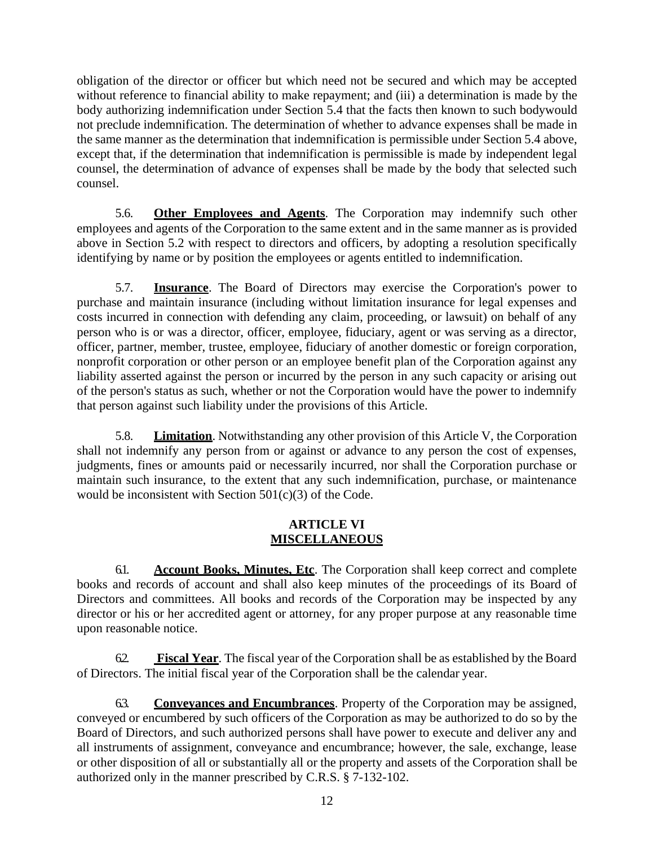obligation of the director or officer but which need not be secured and which may be accepted without reference to financial ability to make repayment; and (iii) a determination is made by the body authorizing indemnification under Section 5.4 that the facts then known to such bodywould not preclude indemnification. The determination of whether to advance expenses shall be made in the same manner as the determination that indemnification is permissible under Section 5.4 above, except that, if the determination that indemnification is permissible is made by independent legal counsel, the determination of advance of expenses shall be made by the body that selected such counsel.

<span id="page-14-0"></span>5.6. **Other Employees and Agents**. The Corporation may indemnify such other employees and agents of the Corporation to the same extent and in the same manner as is provided above in Section 5.2 with respect to directors and officers, by adopting a resolution specifically identifying by name or by position the employees or agents entitled to indemnification.

<span id="page-14-1"></span>5.7. **Insurance**. The Board of Directors may exercise the Corporation's power to purchase and maintain insurance (including without limitation insurance for legal expenses and costs incurred in connection with defending any claim, proceeding, or lawsuit) on behalf of any person who is or was a director, officer, employee, fiduciary, agent or was serving as a director, officer, partner, member, trustee, employee, fiduciary of another domestic or foreign corporation, nonprofit corporation or other person or an employee benefit plan of the Corporation against any liability asserted against the person or incurred by the person in any such capacity or arising out of the person's status as such, whether or not the Corporation would have the power to indemnify that person against such liability under the provisions of this Article.

<span id="page-14-2"></span>5.8. **Limitation**. Notwithstanding any other provision of this Article V, the Corporation shall not indemnify any person from or against or advance to any person the cost of expenses, judgments, fines or amounts paid or necessarily incurred, nor shall the Corporation purchase or maintain such insurance, to the extent that any such indemnification, purchase, or maintenance would be inconsistent with Section 501(c)(3) of the Code.

#### <span id="page-14-3"></span>**ARTICLE VI MISCELLANEOUS**

<span id="page-14-4"></span>6.1. **Account Books, Minutes, Etc**. The Corporation shall keep correct and complete books and records of account and shall also keep minutes of the proceedings of its Board of Directors and committees. All books and records of the Corporation may be inspected by any director or his or her accredited agent or attorney, for any proper purpose at any reasonable time upon reasonable notice.

<span id="page-14-5"></span>6.2. **Fiscal Year**. The fiscal year of the Corporation shall be as established by the Board of Directors. The initial fiscal year of the Corporation shall be the calendar year.

<span id="page-14-6"></span>6.3. **Conveyances and Encumbrances**. Property of the Corporation may be assigned, conveyed or encumbered by such officers of the Corporation as may be authorized to do so by the Board of Directors, and such authorized persons shall have power to execute and deliver any and all instruments of assignment, conveyance and encumbrance; however, the sale, exchange, lease or other disposition of all or substantially all or the property and assets of the Corporation shall be authorized only in the manner prescribed by C.R.S. § 7-132-102.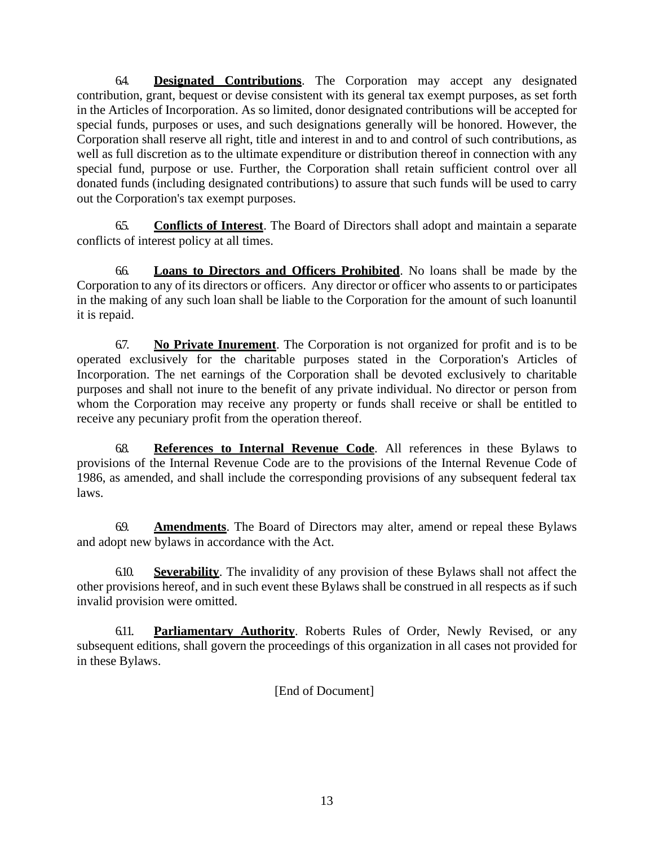<span id="page-15-0"></span>6.4. **Designated Contributions**. The Corporation may accept any designated contribution, grant, bequest or devise consistent with its general tax exempt purposes, as set forth in the Articles of Incorporation. As so limited, donor designated contributions will be accepted for special funds, purposes or uses, and such designations generally will be honored. However, the Corporation shall reserve all right, title and interest in and to and control of such contributions, as well as full discretion as to the ultimate expenditure or distribution thereof in connection with any special fund, purpose or use. Further, the Corporation shall retain sufficient control over all donated funds (including designated contributions) to assure that such funds will be used to carry out the Corporation's tax exempt purposes.

<span id="page-15-1"></span>6.5. **Conflicts of Interest**. The Board of Directors shall adopt and maintain a separate conflicts of interest policy at all times.

<span id="page-15-2"></span>6.6. **Loans to Directors and Officers Prohibited**. No loans shall be made by the Corporation to any of its directors or officers. Any director or officer who assents to or participates in the making of any such loan shall be liable to the Corporation for the amount of such loanuntil it is repaid.

<span id="page-15-3"></span>6.7. **No Private Inurement**. The Corporation is not organized for profit and is to be operated exclusively for the charitable purposes stated in the Corporation's Articles of Incorporation. The net earnings of the Corporation shall be devoted exclusively to charitable purposes and shall not inure to the benefit of any private individual. No director or person from whom the Corporation may receive any property or funds shall receive or shall be entitled to receive any pecuniary profit from the operation thereof.

<span id="page-15-4"></span>6.8. **References to Internal Revenue Code**. All references in these Bylaws to provisions of the Internal Revenue Code are to the provisions of the Internal Revenue Code of 1986, as amended, and shall include the corresponding provisions of any subsequent federal tax laws.

<span id="page-15-5"></span>6.9. **Amendments**. The Board of Directors may alter, amend or repeal these Bylaws and adopt new bylaws in accordance with the Act.

<span id="page-15-6"></span>6.10. **Severability**. The invalidity of any provision of these Bylaws shall not affect the other provisions hereof, and in such event these Bylaws shall be construed in all respects as if such invalid provision were omitted.

<span id="page-15-7"></span>6.11. **Parliamentary Authority**. Roberts Rules of Order, Newly Revised, or any subsequent editions, shall govern the proceedings of this organization in all cases not provided for in these Bylaws.

[End of Document]